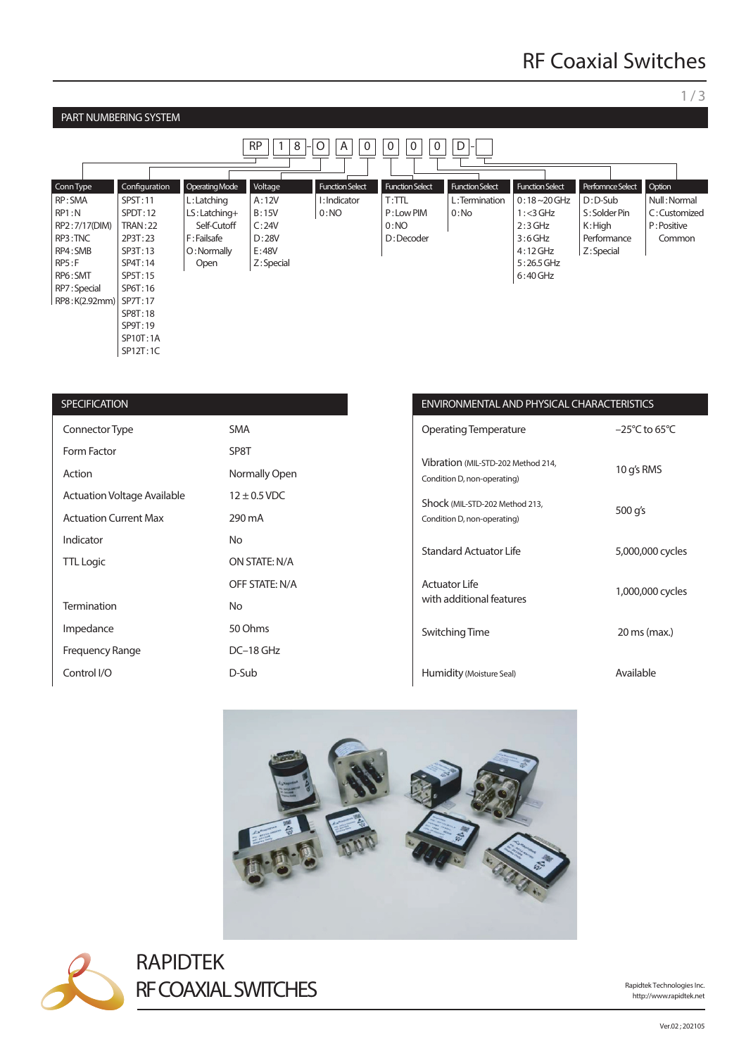### 1 / 3

#### PART NUMBERING SYSTEM RP || 1 | 8 |-| O | | A | | 0 | | 0 | | 0 | | 0 | | D Perfomnce Select D : D-Sub S : Solder Pin K : High Performance Z: Special Function Select  $0:18 - 20$  GHz  $1: < 3$  GHz  $2:3$  GHz 3 : 6 GHz 4 : 12 GHz 5 : 26.5 GHz 6 : 40 GHz Function Select L : Termination  $0:N<sub>0</sub>$ Function S  $T:TTL$ P : Low PIM 0:NO D : Decoder Function Select I : Indicator  $0:NO$ Voltage A : 12V B : 15V  $C:24V$ D : 28V E : 48V Z: Special Operating Mode  $\lfloor$  L : Latching LS : Latching+ Self-Cutoff F : Failsafe O : Normally Open Configuration SPST : 11 SPDT:12 TRAN : 22 2P3T : 23 SP3T : 13 SP4T : 14 SP5T : 15 SP6T : 16 RP8:K(2.92mm) | SP7T:17 SP8T : 18 SP9T : 19 SP10T:1A SP12T : 1C Conn Type RP : SMA RP1 : N RP2 : 7/17(DIM) RP3 : TNC RP4 : SMB RP5 : F RP6 : SMT RP7 : Special **Option** Null : Normal C : Customized P : Positive Common

| <b>SPECIFICATION</b>               |                  | <b>ENVIRC</b>         |
|------------------------------------|------------------|-----------------------|
| Connector Type                     | <b>SMA</b>       | Operati               |
| Form Factor                        | SP8T             |                       |
| Action                             | Normally Open    | Vibratio<br>Condition |
| <b>Actuation Voltage Available</b> | $12 \pm 0.5$ VDC | Shock (               |
| <b>Actuation Current Max</b>       | 290 mA           | Condition             |
| Indicator                          | <b>No</b>        | Standa                |
| <b>TTL Logic</b>                   | ON STATE: N/A    |                       |
|                                    | OFF STATE: N/A   | Actuato               |
| <b>Termination</b>                 | <b>No</b>        | with ad               |
| Impedance                          | 50 Ohms          | Switchi               |
| <b>Frequency Range</b>             | DC-18 GHz        |                       |
| Control I/O                        | D-Sub            | Humidi                |

## **INMENTAL AND PHYSICAL CHARACTERISTICS**

| <b>Operating Temperature</b>                                      | $-25^{\circ}$ C to 65 $^{\circ}$ C |
|-------------------------------------------------------------------|------------------------------------|
| Vibration (MIL-STD-202 Method 214,<br>Condition D, non-operating) | 10 g's RMS                         |
| Shock (MIL-STD-202 Method 213,<br>Condition D, non-operating)     | 500 g's                            |
| <b>Standard Actuator Life</b>                                     | 5,000,000 cycles                   |
| Actuator Life<br>with additional features                         | 1,000,000 cycles                   |
| Switching Time                                                    | 20 ms (max.)                       |
| Humidity (Moisture Seal)                                          | Available                          |





RAPIDTEK RF COAXIAL SWITCHES

http://www.rapidtek.net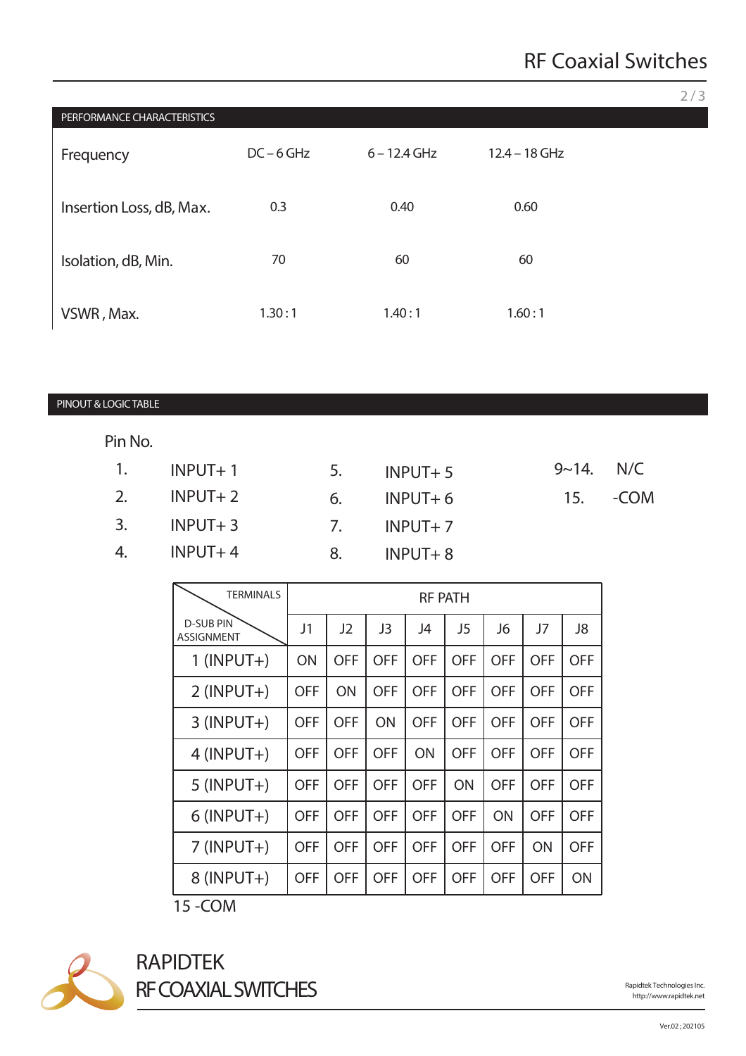|                             |              |    |                |                 |           |      | 2/3 |
|-----------------------------|--------------|----|----------------|-----------------|-----------|------|-----|
| PERFORMANCE CHARACTERISTICS |              |    |                |                 |           |      |     |
| Frequency                   | $DC - 6 GHz$ |    | $6 - 12.4$ GHz | $12.4 - 18$ GHz |           |      |     |
|                             |              |    |                |                 |           |      |     |
| Insertion Loss, dB, Max.    | 0.3          |    | 0.40           | 0.60            |           |      |     |
|                             |              |    |                |                 |           |      |     |
| Isolation, dB, Min.         | 70           |    | 60             | 60              |           |      |     |
| VSWR, Max.                  | 1.30:1       |    | 1.40:1         | 1.60:1          |           |      |     |
|                             |              |    |                |                 |           |      |     |
|                             |              |    |                |                 |           |      |     |
| PINOUT & LOGIC TABLE        |              |    |                |                 |           |      |     |
| Pin No.                     |              |    |                |                 |           |      |     |
|                             |              |    |                |                 |           |      |     |
| 1.<br>$INPUT + 1$           |              | 5. | $INPUT + 5$    |                 | $9 - 14.$ | N/C  |     |
| 2.<br>$INPUT + 2$           |              | 6. | $INPUT+6$      |                 | 15.       | -COM |     |
| 3.<br>$INPUT + 3$           |              | 7. | $INPUT + 7$    |                 |           |      |     |
| 4.<br>$INPUT+4$             |              | 8. | $INPUT + 8$    |                 |           |      |     |

| <b>TERMINALS</b>                      | <b>RF PATH</b> |            |            |            |                |            |            |            |
|---------------------------------------|----------------|------------|------------|------------|----------------|------------|------------|------------|
| <b>D-SUB PIN</b><br><b>ASSIGNMENT</b> | J1             | J2         | J3         | J4         | J <sub>5</sub> | J6         | J7         | J8         |
| $1$ (INPUT+)                          | ON             | <b>OFF</b> | <b>OFF</b> | <b>OFF</b> | <b>OFF</b>     | <b>OFF</b> | <b>OFF</b> | <b>OFF</b> |
| $2$ (INPUT+)                          | <b>OFF</b>     | ON         | <b>OFF</b> | <b>OFF</b> | <b>OFF</b>     | <b>OFF</b> | <b>OFF</b> | <b>OFF</b> |
| $3$ (INPUT+)                          | <b>OFF</b>     | <b>OFF</b> | ON         | <b>OFF</b> | <b>OFF</b>     | <b>OFF</b> | <b>OFF</b> | <b>OFF</b> |
| $4$ (INPUT+)                          | <b>OFF</b>     | <b>OFF</b> | <b>OFF</b> | ON         | <b>OFF</b>     | <b>OFF</b> | <b>OFF</b> | <b>OFF</b> |
| $5$ (INPUT+)                          | <b>OFF</b>     | <b>OFF</b> | <b>OFF</b> | <b>OFF</b> | ON             | <b>OFF</b> | <b>OFF</b> | <b>OFF</b> |
| $6$ (INPUT+)                          | <b>OFF</b>     | <b>OFF</b> | <b>OFF</b> | <b>OFF</b> | <b>OFF</b>     | ON         | <b>OFF</b> | <b>OFF</b> |
| $7$ (INPUT+)                          | <b>OFF</b>     | <b>OFF</b> | <b>OFF</b> | <b>OFF</b> | <b>OFF</b>     | <b>OFF</b> | ON         | <b>OFF</b> |
| $8$ (INPUT+)                          | <b>OFF</b>     | <b>OFF</b> | <b>OFF</b> | <b>OFF</b> | <b>OFF</b>     | <b>OFF</b> | <b>OFF</b> | ON         |

15 -COM



RAPIDTEK RF COAXIAL SWITCHES

http://www.rapidtek.net